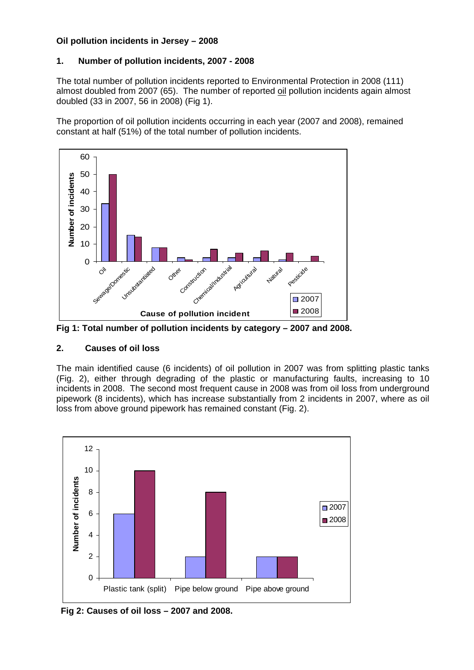#### **Oil pollution incidents in Jersey – 2008**

### **1. Number of pollution incidents, 2007 - 2008**

The total number of pollution incidents reported to Environmental Protection in 2008 (111) almost doubled from 2007 (65). The number of reported oil pollution incidents again almost doubled (33 in 2007, 56 in 2008) (Fig 1).

The proportion of oil pollution incidents occurring in each year (2007 and 2008), remained constant at half (51%) of the total number of pollution incidents.



**Fig 1: Total number of pollution incidents by category – 2007 and 2008.** 

### **2. Causes of oil loss**

The main identified cause (6 incidents) of oil pollution in 2007 was from splitting plastic tanks (Fig. 2), either through degrading of the plastic or manufacturing faults, increasing to 10 incidents in 2008. The second most frequent cause in 2008 was from oil loss from underground pipework (8 incidents), which has increase substantially from 2 incidents in 2007, where as oil loss from above ground pipework has remained constant (Fig. 2).



**Fig 2: Causes of oil loss – 2007 and 2008.**